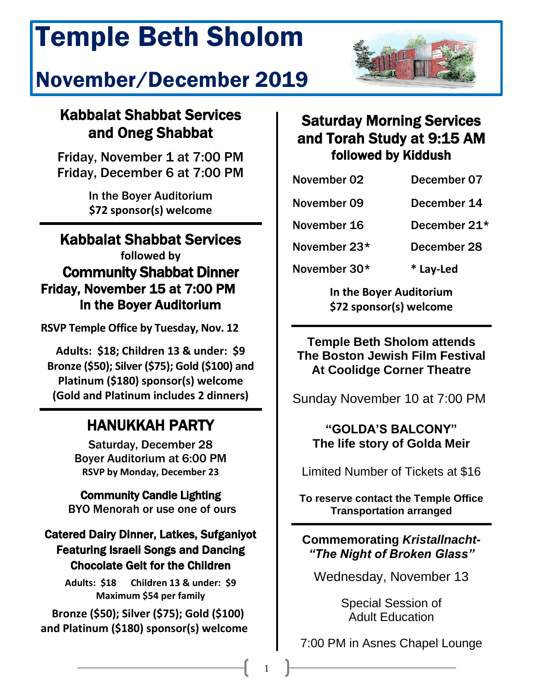# Temple Beth Sholom

# j November/December 2019



# Kabbalat Shabbat Services and Oneg Shabbat

Friday, November 1 at 7:00 PM Friday, December 6 at 7:00 PM

> In the Boyer Auditorium **\$72 sponsor(s) welcome**

# Kabbalat Shabbat Services **followed by** Community Shabbat Dinner Friday, November 15 at 7:00 PM In the Boyer Auditorium

**RSVP Temple Office by Tuesday, Nov. 12**

**Adults: \$18; Children 13 & under: \$9 Bronze (\$50); Silver (\$75); Gold (\$100) and Platinum (\$180) sponsor(s) welcome (Gold and Platinum includes 2 dinners)**

# HANUKKAH PARTY

Saturday, December 28 Boyer Auditorium at 6:00 PM **RSVP by Monday, December 23**

Community Candle Lighting BYO Menorah or use one of ours

# Catered Dairy Dinner, Latkes, Sufganiyot Featuring Israeli Songs and Dancing Chocolate Gelt for the Children

**Adults: \$18 Children 13 & under: \$9 Maximum \$54 per family**

 **Bronze (\$50); Silver (\$75); Gold (\$100) and Platinum (\$180) sponsor(s) welcome**

# Saturday Morning Services and Torah Study at 9:15 AM followed by Kiddush

| November 02        | December 07       |
|--------------------|-------------------|
| November 09        | December 14       |
| November 16        | December 21*      |
| トレー・・・・・・ トー・・ ハウキ | <b>DAAAMAA400</b> |

November 23\* December 28

November 30\* **\* Lay-Led**

**In the Boyer Auditorium \$72 sponsor(s) welcome** 

**Temple Beth Sholom attends The Boston Jewish Film Festival At Coolidge Corner Theatre**

Sunday November 10 at 7:00 PM

## **"GOLDA'S BALCONY" The life story of Golda Meir**

Limited Number of Tickets at \$16

**To reserve contact the Temple Office Transportation arranged**

### **Commemorating** *Kristallnacht- "The Night of Broken Glass"*

Wednesday, November 13

Special Session of Adult Education

7:00 PM in Asnes Chapel Lounge

1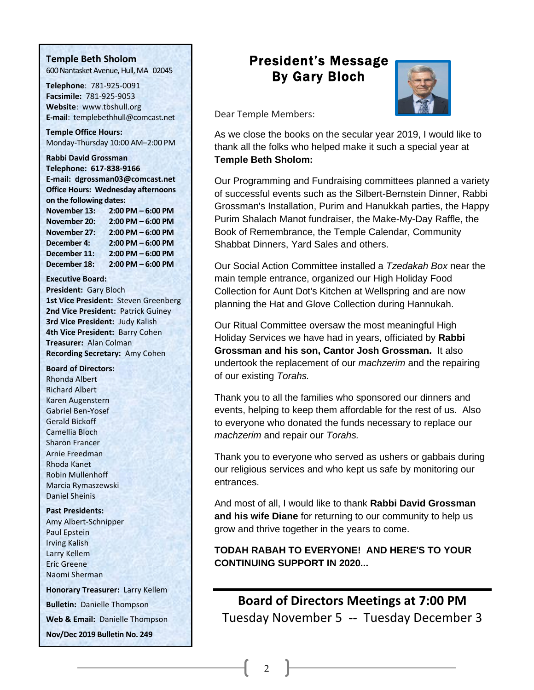#### **Temple Beth Sholom**

600 Nantasket Avenue, Hull, MA 02045

**Telephone**: 781-925-0091 **Facsimile:** 781-925-9053 **Website**: [www.tbshull.org](http://www.tbshull.org/) **E-mail**: templebethhull@comcast.net

**Temple Office Hours:**  Monday-Thursday 10:00 AM–2:00 PM

**Rabbi David Grossman Telephone: 617-838-9166 E-mail: dgrossman03@comcast.net Office Hours: Wednesday afternoons on the following dates:** 

**November 13: 2:00 PM – 6:00 PM November 20: 2:00 PM – 6:00 PM November 27: 2:00 PM – 6:00 PM December 4: 2:00 PM – 6:00 PM December 11: 2:00 PM – 6:00 PM December 18: 2:00 PM – 6:00 PM**

**Executive Board:**

**President:** Gary Bloch **1st Vice President:** Steven Greenberg **2nd Vice President:** Patrick Guiney **3rd Vice President:** Judy Kalish **4th Vice President:** Barry Cohen **Treasurer:** Alan Colman **Recording Secretary:** Amy Cohen

**Board of Directors:**

Rhonda Albert Richard Albert Karen Augenstern Gabriel Ben-Yosef Gerald Bickoff Camellia Bloch Sharon Francer Arnie Freedman Rhoda Kanet Robin Mullenhoff Marcia Rymaszewski Daniel Sheinis

**Past Presidents:**

Amy Albert-Schnipper Paul Epstein Irving Kalish Larry Kellem Eric Greene Naomi Sherman

**Honorary Treasurer:** Larry Kellem **Bulletin:** Danielle Thompson **Web & Email:** Danielle Thompson **Nov/Dec 2019 Bulletin No. 249**

# President's Message By Gary Bloch



Dear Temple Members:

As we close the books on the secular year 2019, I would like to thank all the folks who helped make it such a special year at **Temple Beth Sholom:**

Our Programming and Fundraising committees planned a variety of successful events such as the Silbert-Bernstein Dinner, Rabbi Grossman's Installation, Purim and Hanukkah parties, the Happy Purim Shalach Manot fundraiser, the Make-My-Day Raffle, the Book of Remembrance, the Temple Calendar, Community Shabbat Dinners, Yard Sales and others.

Our Social Action Committee installed a *Tzedakah Box* near the main temple entrance, organized our High Holiday Food Collection for Aunt Dot's Kitchen at Wellspring and are now planning the Hat and Glove Collection during Hannukah.

Our Ritual Committee oversaw the most meaningful High Holiday Services we have had in years, officiated by **Rabbi Grossman and his son, Cantor Josh Grossman.** It also undertook the replacement of our *machzerim* and the repairing of our existing *Torahs.*

Thank you to all the families who sponsored our dinners and events, helping to keep them affordable for the rest of us. Also to everyone who donated the funds necessary to replace our *machzerim* and repair our *Torahs.*

Thank you to everyone who served as ushers or gabbais during our religious services and who kept us safe by monitoring our entrances.

And most of all, I would like to thank **Rabbi David Grossman and his wife Diane** for returning to our community to help us grow and thrive together in the years to come.

**TODAH RABAH TO EVERYONE! AND HERE'S TO YOUR CONTINUING SUPPORT IN 2020...**

# **Board of Directors Meetings at 7:00 PM** Tuesday November 5 **--** Tuesday December 3

2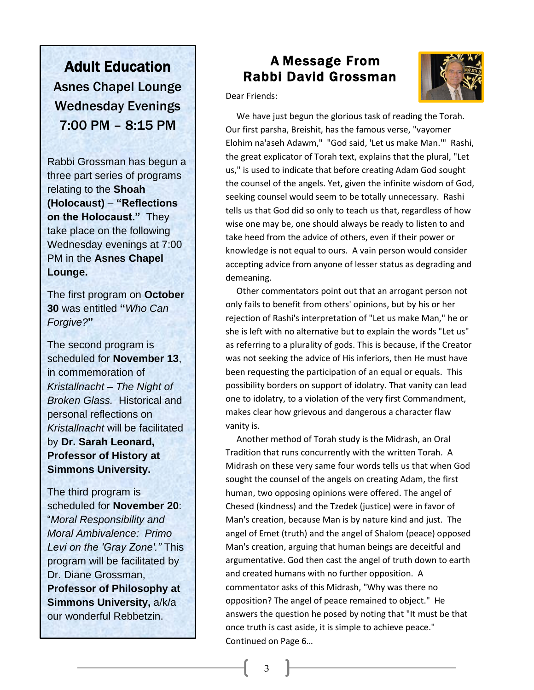Adult Education Asnes Chapel Lounge Wednesday Evenings 7:00 PM – 8:15 PM

Rabbi Grossman has begun a three part series of programs relating to the **Shoah (Holocaust)** – **"Reflections on the Holocaust."** They take place on the following Wednesday evenings at 7:00 PM in the **Asnes Chapel Lounge.**

The first program on **October 30** was entitled **"***Who Can Forgive?***"**

The second program is scheduled for **November 13**, in commemoration of *Kristallnacht – The Night of Broken Glass.* Historical and personal reflections on *Kristallnacht* will be facilitated by **Dr. Sarah Leonard, Professor of History at Simmons University.**

The third program is scheduled for **November 20**: "*Moral Responsibility and Moral Ambivalence: Primo Levi on the 'Gray Zone'."* This program will be facilitated by Dr. Diane Grossman, **Professor of Philosophy at Simmons University,** a/k/a our wonderful Rebbetzin.

Ï

 $\overline{\phantom{a}}$ 

# Rabbi David Grossman A Message From



Dear Friends:

 Our first parsha, Breishit, has the famous verse, "vayomer Elohim na'aseh Adawm," "God said, 'Let us make Man.'" Rashi, us," is used to indicate that before creating Adam God sought the counsel of the angels. Yet, given the infinite wisdom of God, tells us that God did so only to teach us that, regardless of how wise one may be, one should always be ready to listen to and<br>take bood from the advise of others, avon if their nower or knowledge is not equal to ours. A vain person would consider accepting ad<br>demeaning. We have just begun the glorious task of reading the Torah. the great explicator of Torah text, explains that the plural, "Let seeking counsel would seem to be totally unnecessary. Rashi take heed from the advice of others, even if their power or accepting advice from anyone of lesser status as degrading and

 Other commentators point out that an arrogant person not rejection of Rashi's interpretation of "Let us make Man," he or she is left with no alternative but to explain the words "Let us" was not seeking the advice of His inferiors, then He must have peen requesting the participation of an equal or equals. This<br>possibility borders on support of idolatry. That vanity can lead one to idolatry, to a violation of the very first Commandment, makes clear how grievous and dangerous a character flaw<br>vanitv is. only fails to benefit from others' opinions, but by his or her as referring to a plurality of gods. This is because, if the Creator been requesting the participation of an equal or equals. This vanity is.

 Another method of Torah study is the Midrash, an Oral Midrash on these very same four words tells us that when God sought the counsel of the angels on creating Adam, the first<br>human, two ennesing enjoing were offered. The angel of Chesed (kindness) and the Tzedek (justice) were in favor of ivian's creation, because ivian is by nature kind and just. The<br>angel of Emet (truth) and the angel of Shalom (peace) opposed Man's creation, arguing that human beings are deceitful and anguinement of their cast the angel of them as<br>and created humans with no further opposition. A Tradition that runs concurrently with the written Torah. A human, two opposing opinions were offered. The angel of Man's creation, because Man is by nature kind and just. The argumentative. God then cast the angel of truth down to earth commentator asks of this Midrash, "Why was there no opposition? The angel of peace remained to object." He answers the question he posed by noting that "It must be that once truth is cast aside, it is simple to achieve peace." Continued on Page 6…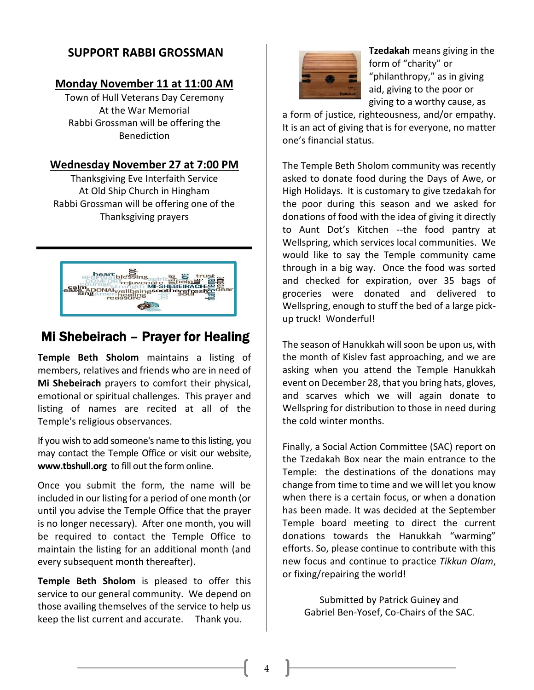### **SUPPORT RABBI GROSSMAN**

#### **Monday November 11 at 11:00 AM**

Town of Hull Veterans Day Ceremony At the War Memorial Rabbi Grossman will be offering the Benediction

#### **Wednesday November 27 at 7:00 PM**

Thanksgiving Eve Interfaith Service At Old Ship Church in Hingham Rabbi Grossman will be offering one of the Thanksgiving prayers



# Mi Shebeirach – Prayer for Healing

**Temple Beth Sholom** maintains a listing of members, relatives and friends who are in need of **Mi Shebeirach** prayers to comfort their physical, emotional or spiritual challenges. This prayer and listing of names are recited at all of the Temple's religious observances.

If you wish to add someone's name to this listing, you may contact the Temple Office or visit our website, **[www.tbshull.org](http://www.tbshull.org/)** to fill out the form online.

Once you submit the form, the name will be included in our listing for a period of one month (or until you advise the Temple Office that the prayer is no longer necessary). After one month, you will be required to contact the Temple Office to maintain the listing for an additional month (and every subsequent month thereafter).

**Temple Beth Sholom** is pleased to offer this service to our general community. We depend on those availing themselves of the service to help us keep the list current and accurate. Thank you.



**Tzedakah** means giving in the form of "charity" or "philanthropy," as in giving aid, giving to the poor or giving to a worthy cause, as

a form of justice, righteousness, and/or empathy. It is an act of giving that is for everyone, no matter one's financial status.

The Temple Beth Sholom community was recently asked to donate food during the Days of Awe, or High Holidays. It is customary to give tzedakah for the poor during this season and we asked for donations of food with the idea of giving it directly to Aunt Dot's Kitchen --the food pantry at Wellspring, which services local communities. We would like to say the Temple community came through in a big way. Once the food was sorted and checked for expiration, over 35 bags of groceries were donated and delivered to Wellspring, enough to stuff the bed of a large pickup truck! Wonderful!

The season of Hanukkah will soon be upon us, with the month of Kislev fast approaching, and we are asking when you attend the Temple Hanukkah event on December 28, that you bring hats, gloves, and scarves which we will again donate to Wellspring for distribution to those in need during the cold winter months.

Finally, a Social Action Committee (SAC) report on the Tzedakah Box near the main entrance to the Temple: the destinations of the donations may change from time to time and we will let you know when there is a certain focus, or when a donation has been made. It was decided at the September Temple board meeting to direct the current donations towards the Hanukkah "warming" efforts. So, please continue to contribute with this new focus and continue to practice *Tikkun Olam*, or fixing/repairing the world!

Submitted by Patrick Guiney and Gabriel Ben-Yosef, Co-Chairs of the SAC.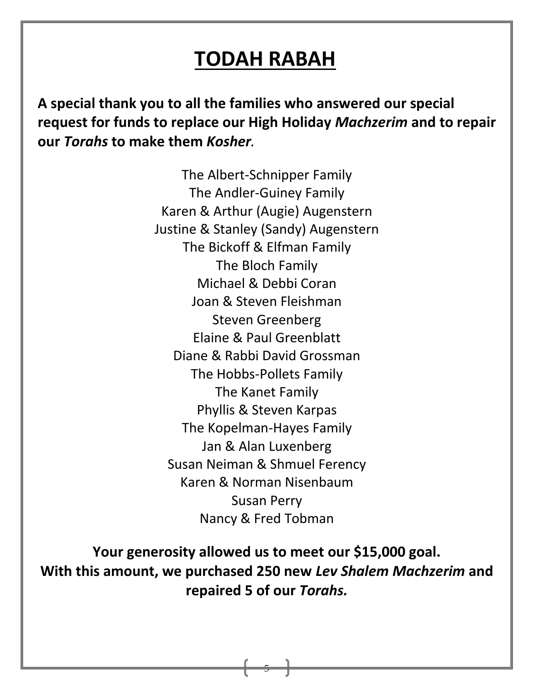# **TODAH RABAH**

**A special thank you to all the families who answered our special request for funds to replace our High Holiday** *Machzerim* **and to repair our** *Torahs* **to make them** *Kosher.* 

> The Albert-Schnipper Family The Andler-Guiney Family Karen & Arthur (Augie) Augenstern Justine & Stanley (Sandy) Augenstern The Bickoff & Elfman Family The Bloch Family Michael & Debbi Coran Joan & Steven Fleishman Steven Greenberg Elaine & Paul Greenblatt Diane & Rabbi David Grossman The Hobbs-Pollets Family The Kanet Family Phyllis & Steven Karpas The Kopelman-Hayes Family Jan & Alan Luxenberg Susan Neiman & Shmuel Ferency Karen & Norman Nisenbaum Susan Perry Nancy & Fred Tobman

**Your generosity allowed us to meet our \$15,000 goal. With this amount, we purchased 250 new** *Lev Shalem Machzerim* **and repaired 5 of our** *Torahs.*

5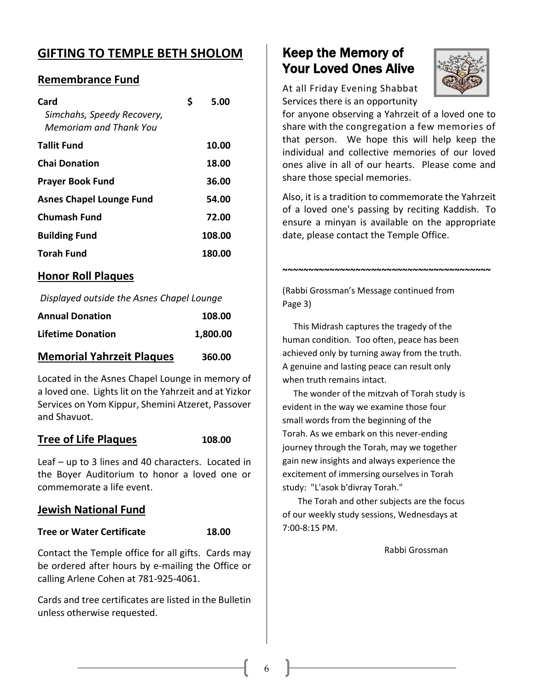# **GIFTING TO TEMPLE BETH SHOLOM**

#### **Remembrance Fund**

| Card<br>Simchahs, Speedy Recovery,<br>Memoriam and Thank You | S | 5.00   |
|--------------------------------------------------------------|---|--------|
| <b>Tallit Fund</b>                                           |   | 10.00  |
| <b>Chai Donation</b>                                         |   | 18.00  |
| <b>Prayer Book Fund</b>                                      |   | 36.00  |
| <b>Asnes Chapel Lounge Fund</b>                              |   | 54.00  |
| <b>Chumash Fund</b>                                          |   | 72.00  |
| <b>Building Fund</b>                                         |   | 108.00 |
| <b>Torah Fund</b>                                            |   | 180.00 |

#### **Honor Roll Plaques**

*Displayed outside the Asnes Chapel Lounge* 

| <b>Annual Donation</b>           | 108.00   |
|----------------------------------|----------|
| Lifetime Donation                | 1,800.00 |
| <b>Memorial Yahrzeit Plaques</b> | 360.00   |

Located in the Asnes Chapel Lounge in memory of a loved one. Lights lit on the Yahrzeit and at Yizkor Services on Yom Kippur, Shemini Atzeret, Passover and Shavuot.

#### **Tree of Life Plaques 108.00**

Leaf – up to 3 lines and 40 characters. Located in the Boyer Auditorium to honor a loved one or commemorate a life event.

#### **Jewish National Fund**

#### **Tree or Water Certificate 18.00**

Contact the Temple office for all gifts. Cards may be ordered after hours by e-mailing the Office or calling Arlene Cohen at 781-925-4061.

Cards and tree certificates are listed in the Bulletin unless otherwise requested.

# Keep the Memory of Your Loved Ones Alive



At all Friday Evening Shabbat Services there is an opportunity

for anyone observing a Yahrzeit of a loved one to share with the congregation a few memories of that person. We hope this will help keep the individual and collective memories of our loved ones alive in all of our hearts. Please come and share those special memories.

Also, it is a tradition to commemorate the Yahrzeit of a loved one's passing by reciting Kaddish. To ensure a minyan is available on the appropriate date, please contact the Temple Office.

**~~~~~~~~~~~~~~~~~~~~~~~~~~~~~~~~~~~~~~~~**

(Rabbi Grossman's Message continued from Page 3)

 This Midrash captures the tragedy of the human condition. Too often, peace has been achieved only by turning away from the truth. A genuine and lasting peace can result only when truth remains intact.

 The wonder of the mitzvah of Torah study is evident in the way we examine those four small words from the beginning of the Torah. As we embark on this never-ending journey through the Torah, may we together gain new insights and always experience the excitement of immersing ourselves in Torah study: "L'asok b'divray Torah."

 The Torah and other subjects are the focus of our weekly study sessions, Wednesdays at 7:00-8:15 PM.

Rabbi Grossman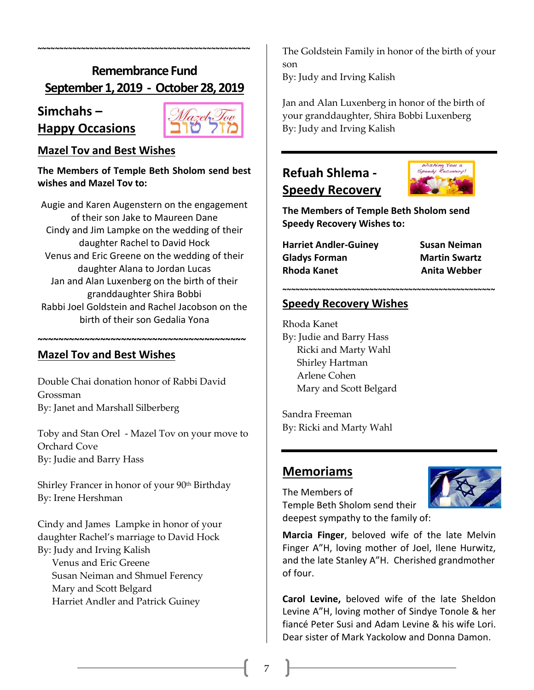# **Remembrance Fund September1, 2019 - October 28, 2019**

**~~~~~~~~~~~~~~~~~~~~~~~~~~~~~~~~~~~~~~~~~~~~~~~~~**

#### **Simchahs –**

**Happy Occasions**



#### **Mazel Tov and Best Wishes**

**The Members of Temple Beth Sholom send best wishes and Mazel Tov to:**

Augie and Karen Augenstern on the engagement of their son Jake to Maureen Dane Cindy and Jim Lampke on the wedding of their daughter Rachel to David Hock Venus and Eric Greene on the wedding of their daughter Alana to Jordan Lucas Jan and Alan Luxenberg on the birth of their granddaughter Shira Bobbi Rabbi Joel Goldstein and Rachel Jacobson on the birth of their son Gedalia Yona

**~~~~~~~~~~~~~~~~~~~~~~~~~~~~~~~~~~~~~~~~**

#### **Mazel Tov and Best Wishes**

Double Chai donation honor of Rabbi David Grossman By: Janet and Marshall Silberberg

Toby and Stan Orel - Mazel Tov on your move to Orchard Cove By: Judie and Barry Hass

Shirley Francer in honor of your 90<sup>th</sup> Birthday By: Irene Hershman

Cindy and James Lampke in honor of your daughter Rachel's marriage to David Hock By: Judy and Irving Kalish

 Venus and Eric Greene Susan Neiman and Shmuel Ferency Mary and Scott Belgard Harriet Andler and Patrick Guiney

The Goldstein Family in honor of the birth of your son

By: Judy and Irving Kalish

Jan and Alan Luxenberg in honor of the birth of your granddaughter, Shira Bobbi Luxenberg By: Judy and Irving Kalish

# **Refuah Shlema - Speedy Recovery**



**The Members of Temple Beth Sholom send Speedy Recovery Wishes to:**

**~~~~~~~~~~~~~~~~~~~~~~~~~~~~~~~~~~~~~~~~~~~~~~~~~**

| <b>Harriet Andler-Guiney</b> | Susan Neiman         |
|------------------------------|----------------------|
| <b>Gladys Forman</b>         | <b>Martin Swartz</b> |
| <b>Rhoda Kanet</b>           | <b>Anita Webber</b>  |

#### **Speedy Recovery Wishes**

Rhoda Kanet By: Judie and Barry Hass Ricki and Marty Wahl Shirley Hartman Arlene Cohen Mary and Scott Belgard

Sandra Freeman By: Ricki and Marty Wahl

#### **Memoriams**



The Members of Temple Beth Sholom send their deepest sympathy to the family of:

**Marcia Finger**, beloved wife of the late Melvin Finger A"H, loving mother of Joel, Ilene Hurwitz, and the late Stanley A"H. Cherished grandmother of four.

**Carol Levine,** beloved wife of the late Sheldon Levine A"H, loving mother of Sindye Tonole & her fiancé Peter Susi and Adam Levine & his wife Lori. Dear sister of Mark Yackolow and Donna Damon.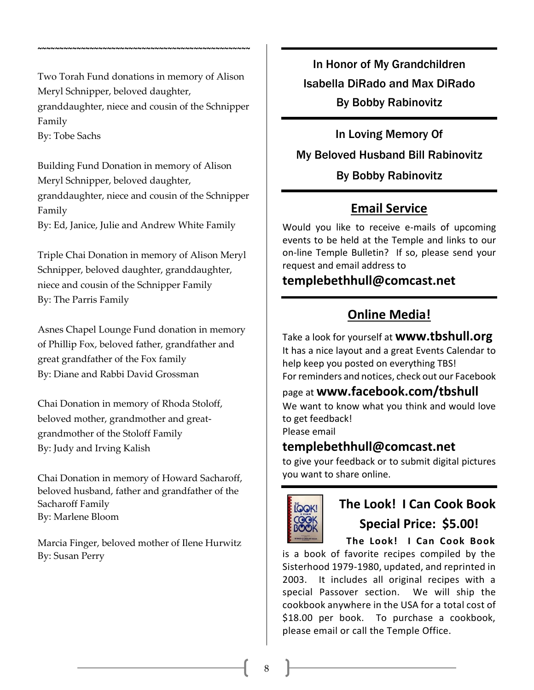Two Torah Fund donations in memory of Alison Meryl Schnipper, beloved daughter, granddaughter, niece and cousin of the Schnipper Family By: Tobe Sachs

**~~~~~~~~~~~~~~~~~~~~~~~~~~~~~~~~~~~~~~~~~~~~~~~~~**

Building Fund Donation in memory of Alison Meryl Schnipper, beloved daughter, granddaughter, niece and cousin of the Schnipper Family By: Ed, Janice, Julie and Andrew White Family

Triple Chai Donation in memory of Alison Meryl Schnipper, beloved daughter, granddaughter, niece and cousin of the Schnipper Family By: The Parris Family

Asnes Chapel Lounge Fund donation in memory of Phillip Fox, beloved father, grandfather and great grandfather of the Fox family By: Diane and Rabbi David Grossman

Chai Donation in memory of Rhoda Stoloff, beloved mother, grandmother and greatgrandmother of the Stoloff Family By: Judy and Irving Kalish

Chai Donation in memory of Howard Sacharoff, beloved husband, father and grandfather of the Sacharoff Family By: Marlene Bloom

Marcia Finger, beloved mother of Ilene Hurwitz By: Susan Perry

In Honor of My Grandchildren Isabella DiRado and Max DiRado By Bobby Rabinovitz

In Loving Memory Of My Beloved Husband Bill Rabinovitz By Bobby Rabinovitz

# **Email Service**

Would you like to receive e-mails of upcoming events to be held at the Temple and links to our on-line Temple Bulletin? If so, please send your request and email address to

# **[templebethhull@comcast.net](mailto:templebethhull@comcast.net)**

# **Online Media!**

Take a look for yourself at **[www.tbshull.org](http://www.tbshull.org/)** It has a nice layout and a great Events Calendar to help keep you posted on everything TBS! For reminders and notices, check out our Facebook

# page at **www.facebook.com/tbshull**

We want to know what you think and would love to get feedback!

Please email

### **templebethhull@comcast.net**

to give your feedback or to submit digital pictures you want to share online.



# **The Look! I Can Cook Book Special Price: \$5.00!**

 **The Look! I Can Cook Book** is a book of favorite recipes compiled by the Sisterhood 1979-1980, updated, and reprinted in 2003. It includes all original recipes with a special Passover section. We will ship the cookbook anywhere in the USA for a total cost of \$18.00 per book. To purchase a cookbook, please email or call the Temple Office.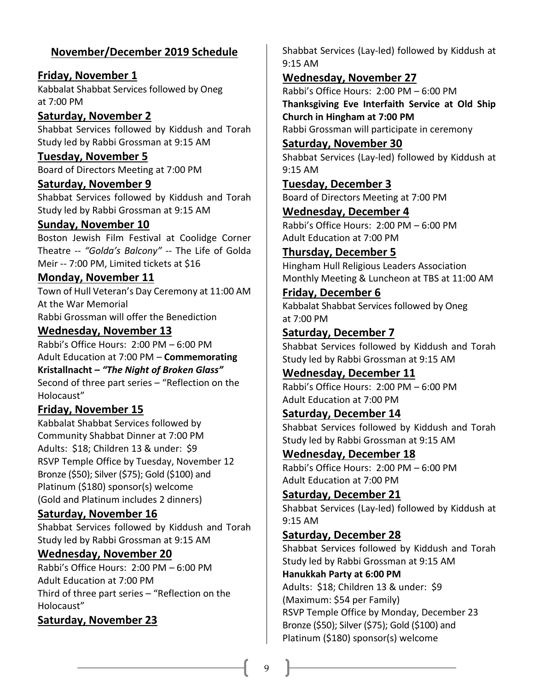#### **November/December 2019 Schedule**

**Friday, November 1** Kabbalat Shabbat Services followed by Oneg at 7:00 PM

#### **Saturday, November 2**

Shabbat Services followed by Kiddush and Torah Study led by Rabbi Grossman at 9:15 AM

#### **Tuesday, November 5**

Board of Directors Meeting at 7:00 PM

#### **Saturday, November 9**

Shabbat Services followed by Kiddush and Torah Study led by Rabbi Grossman at 9:15 AM

#### **Sunday, November 10**

Boston Jewish Film Festival at Coolidge Corner Theatre -- *"Golda's Balcony"* -- The Life of Golda Meir -- 7:00 PM, Limited tickets at \$16

#### **Monday, November 11**

Town of Hull Veteran's Day Ceremony at 11:00 AM At the War Memorial Rabbi Grossman will offer the Benediction

#### **Wednesday, November 13**

Rabbi's Office Hours: 2:00 PM – 6:00 PM Adult Education at 7:00 PM – **Commemorating Kristallnacht –** *"The Night of Broken Glass"* Second of three part series – "Reflection on the Holocaust"

#### **Friday, November 15**

Kabbalat Shabbat Services followed by Community Shabbat Dinner at 7:00 PM Adults: \$18; Children 13 & under: \$9 RSVP Temple Office by Tuesday, November 12 Bronze (\$50); Silver (\$75); Gold (\$100) and Platinum (\$180) sponsor(s) welcome (Gold and Platinum includes 2 dinners)

#### **Saturday, November 16**

Shabbat Services followed by Kiddush and Torah Study led by Rabbi Grossman at 9:15 AM

#### **Wednesday, November 20**

Rabbi's Office Hours: 2:00 PM – 6:00 PM Adult Education at 7:00 PM Third of three part series – "Reflection on the Holocaust"

#### **Saturday, November 23**

Shabbat Services (Lay-led) followed by Kiddush at 9:15 AM

#### **Wednesday, November 27**

Rabbi's Office Hours: 2:00 PM – 6:00 PM **Thanksgiving Eve Interfaith Service at Old Ship Church in Hingham at 7:00 PM** Rabbi Grossman will participate in ceremony

#### **Saturday, November 30**

Shabbat Services (Lay-led) followed by Kiddush at 9:15 AM

# **Tuesday, December 3**

Board of Directors Meeting at 7:00 PM **Wednesday, December 4**

Rabbi's Office Hours: 2:00 PM – 6:00 PM Adult Education at 7:00 PM

#### **Thursday, December 5**

Hingham Hull Religious Leaders Association Monthly Meeting & Luncheon at TBS at 11:00 AM

#### **Friday, December 6** Kabbalat Shabbat Services followed by Oneg at 7:00 PM

#### **Saturday, December 7**

Shabbat Services followed by Kiddush and Torah Study led by Rabbi Grossman at 9:15 AM

**Wednesday, December 11** Rabbi's Office Hours: 2:00 PM – 6:00 PM Adult Education at 7:00 PM

#### **Saturday, December 14**

Shabbat Services followed by Kiddush and Torah Study led by Rabbi Grossman at 9:15 AM

**Wednesday, December 18** Rabbi's Office Hours: 2:00 PM – 6:00 PM Adult Education at 7:00 PM

#### **Saturday, December 21**

Shabbat Services (Lay-led) followed by Kiddush at 9:15 AM

#### **Saturday, December 28**

Shabbat Services followed by Kiddush and Torah Study led by Rabbi Grossman at 9:15 AM **Hanukkah Party at 6:00 PM** Adults: \$18; Children 13 & under: \$9 (Maximum: \$54 per Family) RSVP Temple Office by Monday, December 23 Bronze (\$50); Silver (\$75); Gold (\$100) and Platinum (\$180) sponsor(s) welcome